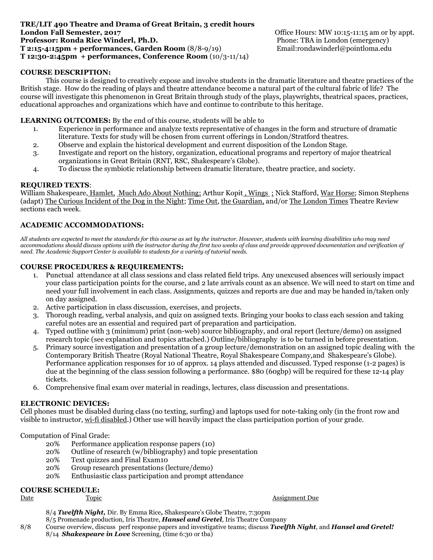#### **TRE/LIT 490 Theatre and Drama of Great Britain, 3 credit hours London Fall Semester, 2017 Office Hours: MW 10:15-11:15 am or by appt. Professor: Ronda Rice Winderl, Ph.D.** Phone: TBA in London (emergency) **T 2:15-4:15pm + performances, Garden Room** (8/8-9/19) Email:rondawinderl@pointloma.edu **T 12:30-2:45pm + performances, Conference Room** (10/3-11/14)

## **COURSE DESCRIPTION:**

This course is designed to creatively expose and involve students in the dramatic literature and theatre practices of the British stage. How do the reading of plays and theatre attendance become a natural part of the cultural fabric of life? The course will investigate this phenomenon in Great Britain through study of the plays, playwrights, theatrical spaces, practices, educational approaches and organizations which have and continue to contribute to this heritage.

### **LEARNING OUTCOMES:** By the end of this course, students will be able to

- 1. Experience in performance and analyze texts representative of changes in the form and structure of dramatic literature. Texts for study will be chosen from current offerings in London/Stratford theatres.
- 2. Observe and explain the historical development and current disposition of the London Stage.
- 3. Investigate and report on the history, organization, educational programs and repertory of major theatrical organizations in Great Britain (RNT, RSC, Shakespeare's Globe).
- 4. To discuss the symbiotic relationship between dramatic literature, theatre practice, and society.

#### **REQUIRED TEXTS**:

William Shakespeare, Hamlet, Much Ado About Nothing; Arthur Kopit, Wings ; Nick Stafford, War Horse; Simon Stephens (adapt) The Curious Incident of the Dog in the Night; Time Out, the Guardian, and/or The London Times Theatre Review sections each week.

#### **ACADEMIC ACCOMMODATIONS:**

*All students are expected to meet the standards for this course as set by the instructor. However, students with learning disabilities who may need accommodations should discuss options with the instructor during the first two weeks of class and provide approved documentation and verification of need. The Academic Support Center is available to students for a variety of tutorial needs.*

#### **COURSE PROCEDURES & REQUIREMENTS:**

- 1. Punctual attendance at all class sessions and class related field trips. Any unexcused absences will seriously impact your class participation points for the course, and 2 late arrivals count as an absence. We will need to start on time and need your full involvement in each class. Assignments, quizzes and reports are due and may be handed in/taken only on day assigned.
- 2. Active participation in class discussion, exercises, and projects.
- 3. Thorough reading, verbal analysis, and quiz on assigned texts. Bringing your books to class each session and taking careful notes are an essential and required part of preparation and participation.
- 4. Typed outline with 3 (minimum) print (non-web) source bibliography, and oral report (lecture/demo) on assigned research topic (see explanation and topics attached.) Outline/bibliography is to be turned in before presentation.
- 5. Primary source investigation and presentation of a group lecture/demonstration on an assigned topic dealing with the Contemporary British Theatre (Royal National Theatre, Royal Shakespeare Company,and Shakespeare's Globe). Performance application responses for 10 of approx. 14 plays attended and discussed. Typed response (1-2 pages) is due at the beginning of the class session following a performance. \$80 (60gbp) will be required for these 12-14 play tickets.
- 6. Comprehensive final exam over material in readings, lectures, class discussion and presentations.

#### **ELECTRONIC DEVICES:**

Cell phones must be disabled during class (no texting, surfing) and laptops used for note-taking only (in the front row and visible to instructor, wi-fi disabled.) Other use will heavily impact the class participation portion of your grade.

# Computation of Final Grade:

- 20% Performance application response papers (10)
- 20% Outline of research (w/bibliography) and topic presentation
- 20% Text quizzes and Final Exam10
- 20% Group research presentations (lecture/demo)
- 20% Enthusiastic class participation and prompt attendance

# **COURSE SCHEDULE:**

Date Topic Assignment Due

8/4 *Twelfth Night,* Dir. By Emma Rice*,* Shakespeare's Globe Theatre, 7:30pm

8/5 Promenade production, Iris Theatre, *Hansel and Gretel*, Iris Theatre Company

8/8 Course overview, discuss perf response papers and investigative teams; discuss *Twelfth Night*, and *Hansel and Gretel!* 8/14 *Shakespeare in Love* Screening, (time 6:30 or tba)